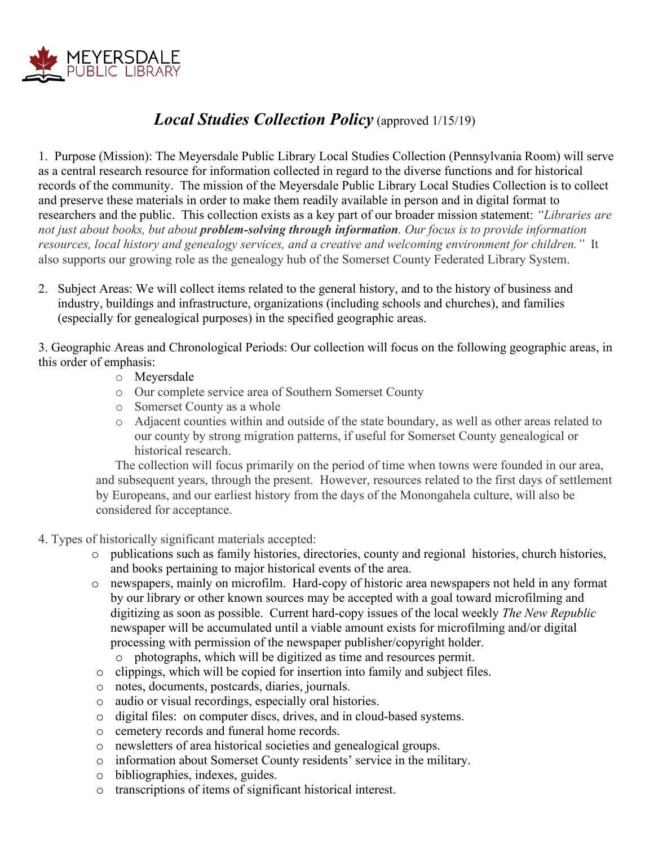

## *Local Studies Collection Policy* (approved 1/15/19)

1. Purpose (Mission): The Meyersdale Public Library Local Studies Collection (Pennsylvania Room) will serve as a central research resource for information collected in regard to the diverse functions and for historical records of the community. The mission of the Meyersdale Public Library Local Studies Collection is to collect and preserve these materials in order to make them readily available in person and in digital format to researchers and the public. This collection exists as a key part of our broader mission statement: *"Libraries are not just about books, but about problem-solving through information. Our focus is to provide information resources, local history and genealogy services, and a creative and welcoming environment for children."* It also supports our growing role as the genealogy hub of the Somerset County Federated Library System.

2. Subject Areas: We will collect items related to the general history, and to the history of business and industry, buildings and infrastructure, organizations (including schools and churches), and families (especially for genealogical purposes) in the specified geographic areas.

3. Geographic Areas and Chronological Periods: Our collection will focus on the following geographic areas, in this order of emphasis:

- o Meyersdale
- o Our complete service area of Southern Somerset County
- o Somerset County as a whole
- o Adjacent counties within and outside of the state boundary, as well as other areas related to our county by strong migration patterns, if useful for Somerset County genealogical or historical research.

The collection will focus primarily on the period of time when towns were founded in our area, and subsequent years, through the present. However, resources related to the first days of settlement by Europeans, and our earliest history from the days of the Monongahela culture, will also be considered for acceptance.

- 4. Types of historically significant materials accepted:
	- o publications such as family histories, directories, county and regional histories, church histories, and books pertaining to major historical events of the area.
	- o newspapers, mainly on microfilm. Hard-copy of historic area newspapers not held in any format by our library or other known sources may be accepted with a goal toward microfilming and digitizing as soon as possible. Current hard-copy issues of the local weekly *The New Republic*  newspaper will be accumulated until a viable amount exists for microfilming and/or digital processing with permission of the newspaper publisher/copyright holder.
		- o photographs, which will be digitized as time and resources permit.
	- o clippings, which will be copied for insertion into family and subject files.
	- o notes, documents, postcards, diaries, journals.
	- o audio or visual recordings, especially oral histories.
	- o digital files: on computer discs, drives, and in cloud-based systems.
	- o cemetery records and funeral home records.
	- o newsletters of area historical societies and genealogical groups.
	- o information about Somerset County residents' service in the military.
	- o bibliographies, indexes, guides.
	- o transcriptions of items of significant historical interest.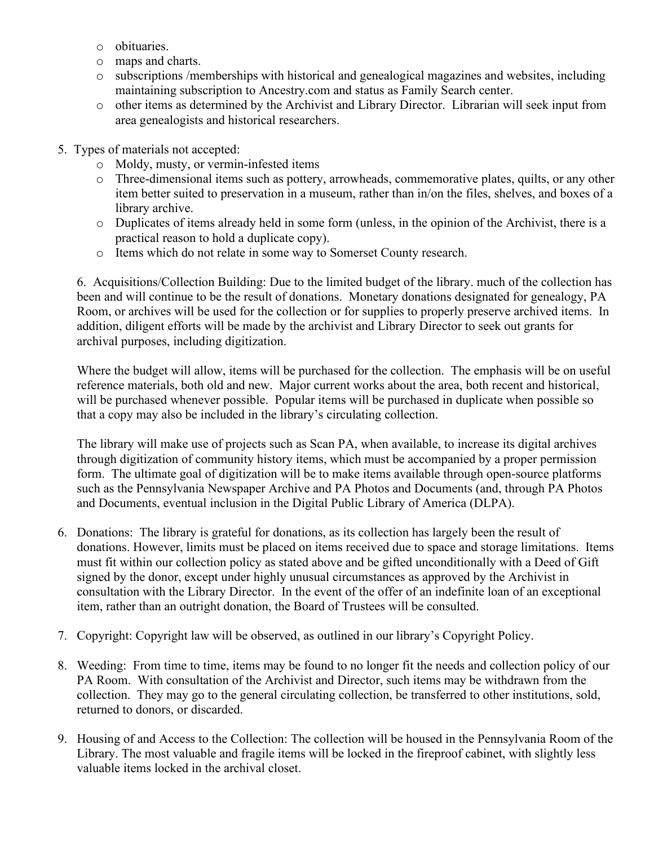- o obituaries.
- o maps and charts.
- o subscriptions /memberships with historical and genealogical magazines and websites, including maintaining subscription to Ancestry.com and status as Family Search center.
- o other items as determined by the Archivist and Library Director. Librarian will seek input from area genealogists and historical researchers.
- 5. Types of materials not accepted:
	- o Moldy, musty, or vermin-infested items
	- o Three-dimensional items such as pottery, arrowheads, commemorative plates, quilts, or any other item better suited to preservation in a museum, rather than in/on the files, shelves, and boxes of a library archive.
	- o Duplicates of items already held in some form (unless, in the opinion of the Archivist, there is a practical reason to hold a duplicate copy).
	- o Items which do not relate in some way to Somerset County research.

6. Acquisitions/Collection Building: Due to the limited budget of the library. much of the collection has been and will continue to be the result of donations. Monetary donations designated for genealogy, PA Room, or archives will be used for the collection or for supplies to properly preserve archived items. In addition, diligent efforts will be made by the archivist and Library Director to seek out grants for archival purposes, including digitization.

Where the budget will allow, items will be purchased for the collection. The emphasis will be on useful reference materials, both old and new. Major current works about the area, both recent and historical, will be purchased whenever possible. Popular items will be purchased in duplicate when possible so that a copy may also be included in the library's circulating collection.

The library will make use of projects such as Scan PA, when available, to increase its digital archives through digitization of community history items, which must be accompanied by a proper permission form. The ultimate goal of digitization will be to make items available through open-source platforms such as the Pennsylvania Newspaper Archive and PA Photos and Documents (and, through PA Photos and Documents, eventual inclusion in the Digital Public Library of America (DLPA).

- 6. Donations: The library is grateful for donations, as its collection has largely been the result of donations. However, limits must be placed on items received due to space and storage limitations. Items must fit within our collection policy as stated above and be gifted unconditionally with a Deed of Gift signed by the donor, except under highly unusual circumstances as approved by the Archivist in consultation with the Library Director. In the event of the offer of an indefinite loan of an exceptional item, rather than an outright donation, the Board of Trustees will be consulted.
- 7. Copyright: Copyright law will be observed, as outlined in our library's Copyright Policy.
- 8. Weeding: From time to time, items may be found to no longer fit the needs and collection policy of our PA Room. With consultation of the Archivist and Director, such items may be withdrawn from the collection. They may go to the general circulating collection, be transferred to other institutions, sold, returned to donors, or discarded.
- 9. Housing of and Access to the Collection: The collection will be housed in the Pennsylvania Room of the Library. The most valuable and fragile items will be locked in the fireproof cabinet, with slightly less valuable items locked in the archival closet.